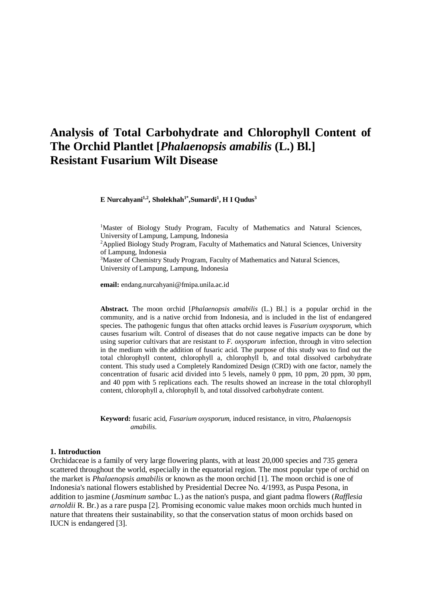# **Analysis of Total Carbohydrate and Chlorophyll Content of The Orchid Plantlet [***Phalaenopsis amabilis* **(L.) Bl.] Resistant Fusarium Wilt Disease**

**E Nurcahyani1,2, Sholekhah1\* ,Sumardi<sup>1</sup> , H I Qudus<sup>3</sup>**

<sup>1</sup>Master of Biology Study Program, Faculty of Mathematics and Natural Sciences, University of Lampung, Lampung, Indonesia <sup>2</sup>Applied Biology Study Program, Faculty of Mathematics and Natural Sciences, University of Lampung, Indonesia <sup>3</sup>Master of Chemistry Study Program, Faculty of Mathematics and Natural Sciences, University of Lampung, Lampung, Indonesia

**email:** endang.nurcahyani@fmipa.unila.ac.id

**Abstract.** The moon orchid [*Phalaenopsis amabilis* (L.) Bl.] is a popular orchid in the community, and is a native orchid from Indonesia, and is included in the list of endangered species. The pathogenic fungus that often attacks orchid leaves is *Fusarium oxysporum*, which causes fusarium wilt. Control of diseases that do not cause negative impacts can be done by using superior cultivars that are resistant to *F. oxysporum* infection, through in vitro selection in the medium with the addition of fusaric acid. The purpose of this study was to find out the total chlorophyll content, chlorophyll a, chlorophyll b, and total dissolved carbohydrate content. This study used a Completely Randomized Design (CRD) with one factor, namely the concentration of fusaric acid divided into 5 levels, namely 0 ppm, 10 ppm, 20 ppm, 30 ppm, and 40 ppm with 5 replications each. The results showed an increase in the total chlorophyll content, chlorophyll a, chlorophyll b, and total dissolved carbohydrate content.

**Keyword:** fusaric acid, *Fusarium oxysporum,* induced resistance, in vitro, *Phalaenopsis amabilis*.

#### **1. Introduction**

Orchidaceae is a family of very large flowering plants, with at least 20,000 species and 735 genera scattered throughout the world, especially in the equatorial region. The most popular type of orchid on the market is *Phalaenopsis amabilis* or known as the moon orchid [1]. The moon orchid is one of Indonesia's national flowers established by Presidential Decree No. 4/1993, as Puspa Pesona, in addition to jasmine (*Jasminum sambac* L.) as the nation's puspa, and giant padma flowers (*Rafflesia arnoldii* R. Br.) as a rare puspa [2]. Promising economic value makes moon orchids much hunted in nature that threatens their sustainability, so that the conservation status of moon orchids based on IUCN is endangered [3].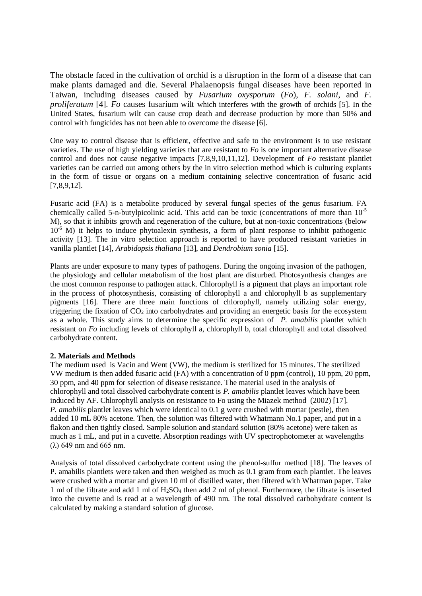The obstacle faced in the cultivation of orchid is a disruption in the form of a disease that can make plants damaged and die. Several Phalaenopsis fungal diseases have been reported in Taiwan, including diseases caused by *Fusarium oxysporum* (*Fo*), *F. solani*, and *F. proliferatum* [4]. *Fo* causes fusarium wilt which interferes with the growth of orchids [5]. In the United States, fusarium wilt can cause crop death and decrease production by more than 50% and control with fungicides has not been able to overcome the disease [6].

One way to control disease that is efficient, effective and safe to the environment is to use resistant varieties. The use of high yielding varieties that are resistant to *Fo* is one important alternative disease control and does not cause negative impacts [7,8,9,10,11,12]. Development of *Fo* resistant plantlet varieties can be carried out among others by the in vitro selection method which is culturing explants in the form of tissue or organs on a medium containing selective concentration of fusaric acid [7,8,9,12].

Fusaric acid (FA) is a metabolite produced by several fungal species of the genus fusarium. FA chemically called 5-n-butylpicolinic acid. This acid can be toxic (concentrations of more than  $10^{-5}$ M), so that it inhibits growth and regeneration of the culture, but at non-toxic concentrations (below  $10^{-6}$  M) it helps to induce phytoalexin synthesis, a form of plant response to inhibit pathogenic activity [13]. The in vitro selection approach is reported to have produced resistant varieties in vanilla plantlet [14], *Arabidopsis thaliana* [13], and *Dendrobium sonia* [15].

Plants are under exposure to many types of pathogens. During the ongoing invasion of the pathogen, the physiology and cellular metabolism of the host plant are disturbed. Photosynthesis changes are the most common response to pathogen attack. Chlorophyll is a pigment that plays an important role in the process of photosynthesis, consisting of chlorophyll a and chlorophyll b as supplementary pigments [16]. There are three main functions of chlorophyll, namely utilizing solar energy, triggering the fixation of  $CO<sub>2</sub>$  into carbohydrates and providing an energetic basis for the ecosystem as a whole. This study aims to determine the specific expression of *P. amabilis* plantlet which resistant on *Fo* including levels of chlorophyll a, chlorophyll b, total chlorophyll and total dissolved carbohydrate content.

## **2. Materials and Methods**

The medium used is Vacin and Went (VW), the medium is sterilized for 15 minutes. The sterilized VW medium is then added fusaric acid (FA) with a concentration of 0 ppm (control), 10 ppm, 20 ppm, 30 ppm, and 40 ppm for selection of disease resistance. The material used in the analysis of chlorophyll and total dissolved carbohydrate content is *P. amabilis* plantlet leaves which have been induced by AF. Chlorophyll analysis on resistance to Fo using the Miazek method (2002) [17]. *P. amabilis* plantlet leaves which were identical to 0.1 g were crushed with mortar (pestle), then added 10 mL 80% acetone. Then, the solution was filtered with Whatmann No.1 paper, and put in a flakon and then tightly closed. Sample solution and standard solution (80% acetone) were taken as much as 1 mL, and put in a cuvette. Absorption readings with UV spectrophotometer at wavelengths (λ) 649 nm and 665 nm.

Analysis of total dissolved carbohydrate content using the phenol-sulfur method [18]. The leaves of P. amabilis plantlets were taken and then weighed as much as 0.1 gram from each plantlet. The leaves were crushed with a mortar and given 10 ml of distilled water, then filtered with Whatman paper. Take 1 ml of the filtrate and add 1 ml of H2SO<sup>4</sup> then add 2 ml of phenol. Furthermore, the filtrate is inserted into the cuvette and is read at a wavelength of 490 nm. The total dissolved carbohydrate content is calculated by making a standard solution of glucose.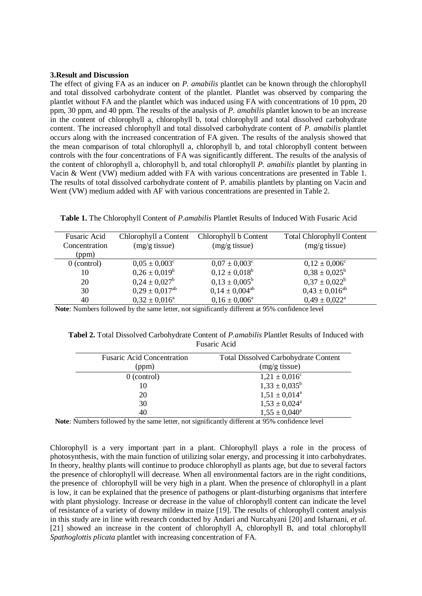#### **3.Result and Discussion**

The effect of giving FA as an inducer on *P. amabilis* plantlet can be known through the chlorophyll and total dissolved carbohydrate content of the plantlet. Plantlet was observed by comparing the plantlet without FA and the plantlet which was induced using FA with concentrations of 10 ppm, 20 ppm, 30 ppm, and 40 ppm. The results of the analysis of *P. amabilis* plantlet known to be an increase in the content of chlorophyll a, chlorophyll b, total chlorophyll and total dissolved carbohydrate content. The increased chlorophyll and total dissolved carbohydrate content of *P. amabilis* plantlet occurs along with the increased concentration of FA given. The results of the analysis showed that the mean comparison of total chlorophyll a, chlorophyll b, and total chlorophyll content between controls with the four concentrations of FA was significantly different. The results of the analysis of the content of chlorophyll a, chlorophyll b, and total chlorophyll *P. amabilis* plantlet by planting in Vacin & Went (VW) medium added with FA with various concentrations are presented in Table 1. The results of total dissolved carbohydrate content of P. amabilis plantlets by planting on Vacin and Went (VW) medium added with AF with various concentrations are presented in Table 2.

| Table 1. The Chlorophyll Content of P.amabilis Plantlet Results of Induced With Fusaric Acid |  |  |
|----------------------------------------------------------------------------------------------|--|--|
|----------------------------------------------------------------------------------------------|--|--|

| <b>Fusaric Acid</b><br>Concentration<br>(ppm) | Chlorophyll a Content<br>$(mg/g$ tissue) | Chlorophyll b Content<br>$(mg/g$ tissue) | <b>Total Chlorophyll Content</b><br>$(mg/g$ tissue) |
|-----------------------------------------------|------------------------------------------|------------------------------------------|-----------------------------------------------------|
| $0$ (control)                                 | $0.05 \pm 0.003$ <sup>c</sup>            | $0.07 \pm 0.003$ <sup>c</sup>            | $0.12 \pm 0.006^{\circ}$                            |
| 10                                            | $0.26 \pm 0.019^b$                       | $0.12 \pm 0.018^b$                       | $0.38 \pm 0.025^b$                                  |
| 20                                            | $0.24 \pm 0.027^b$                       | $0.13 \pm 0.005^b$                       | $0.37 \pm 0.022^b$                                  |
| 30                                            | $0,29 \pm 0,017^{ab}$                    | $0.14 \pm 0.004$ <sup>ab</sup>           | $0,43 \pm 0,016^{ab}$                               |
| 40                                            | $0.32 \pm 0.016^a$                       | $0.16 \pm 0.006^a$                       | $0.49 \pm 0.022^{\text{a}}$                         |

**Note**: Numbers followed by the same letter, not significantly different at 95% confidence level

| <b>Tabel 2.</b> Total Dissolved Carbohydrate Content of <i>P.amabilis</i> Plantlet Results of Induced with |
|------------------------------------------------------------------------------------------------------------|
| <b>Fusaric Acid</b>                                                                                        |

| <b>Fusaric Acid Concentration</b> | <b>Total Dissolved Carbohydrate Content</b> |
|-----------------------------------|---------------------------------------------|
| (ppm)                             | $(mg/g$ tissue)                             |
| $0$ (control)                     | $1,21 \pm 0,016^c$                          |
| 10                                | $1,33 \pm 0,035^b$                          |
| 20                                | $1,51 \pm 0,014^a$                          |
| 30                                | $1,53 \pm 0,024^{\circ}$                    |
| 40                                | $1,55 \pm 0,040^{\circ}$                    |

**Note**: Numbers followed by the same letter, not significantly different at 95% confidence level

Chlorophyll is a very important part in a plant. Chlorophyll plays a role in the process of photosynthesis, with the main function of utilizing solar energy, and processing it into carbohydrates. In theory, healthy plants will continue to produce chlorophyll as plants age, but due to several factors the presence of chlorophyll will decrease. When all environmental factors are in the right conditions, the presence of chlorophyll will be very high in a plant. When the presence of chlorophyll in a plant is low, it can be explained that the presence of pathogens or plant-disturbing organisms that interfere with plant physiology. Increase or decrease in the value of chlorophyll content can indicate the level of resistance of a variety of downy mildew in maize [19]. The results of chlorophyll content analysis in this study are in line with research conducted by Andari and Nurcahyani [20] and Isharnani, *et al.* [21] showed an increase in the content of chlorophyll A, chlorophyll B, and total chlorophyll *Spathoglottis plicata* plantlet with increasing concentration of FA.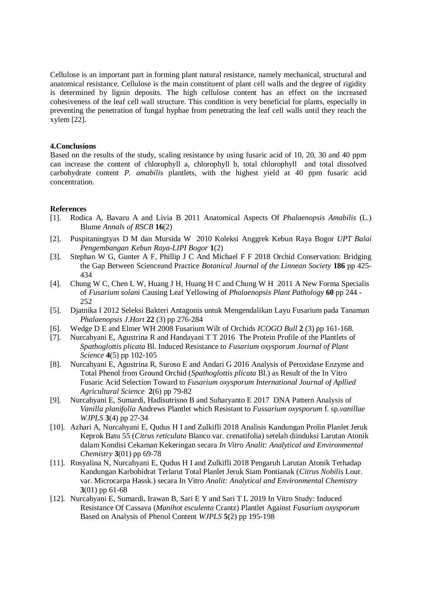Cellulose is an important part in forming plant natural resistance, namely mechanical, structural and anatomical resistance. Cellulose is the main constituent of plant cell walls and the degree of rigidity is determined by lignin deposits. The high cellulose content has an effect on the increased cohesiveness of the leaf cell wall structure. This condition is very beneficial for plants, especially in preventing the penetration of fungal hyphae from penetrating the leaf cell walls until they reach the xylem [22].

## **4.Conclusions**

Based on the results of the study, scaling resistance by using fusaric acid of 10, 20, 30 and 40 ppm can increase the content of chlorophyll a, chlorophyll b, total chlorophyll and total dissolved carbohydrate content *P. amabilis* plantlets, with the highest yield at 40 ppm fusaric acid concentration.

#### **References**

- [1]. Rodica A, Bavaru A and Livia B 2011 Anatomical Aspects Of *Phalaenopsis Amabilis* (L.) Blume *Annals of RSCB* **16**(2)
- [2]. Puspitaningtyas D M dan Mursida W 2010 Koleksi Anggrek Kebun Raya Bogor *UPT Balai Pengembangan Kebun Raya-LIPI Bogor* **1**(2)
- [3]. Stephan W G, Gunter A F, Phillip J C And Michael F F 2018 Orchid Conservation: Bridging the Gap Between Scienceand Practice *Botanical Journal of the Linnean Society* **186** pp 425- 434
- [4]. Chung W C, Chen L W, Huang J H, Huang H C and Chung W H 2011 A New Forma Specialis of *Fusarium solani* Causing Leaf Yellowing of *Phalaenopsis Plant Pathology* **60** pp 244 - 252
- [5]. Djatnika I 2012 Seleksi Bakteri Antagonis untuk Mengendalikan Layu Fusarium pada Tanaman *Phalaenopsis J.Hort* **22** (3) pp 276-284
- [6]. Wedge D E and Elmer WH 2008 Fusarium Wilt of Orchids *ICOGO Bull* **2** (3) pp 161-168.
- [7]. Nurcahyani E, Agustrina R and Handayani T T 2016 The Protein Profile of the Plantlets of *Spathoglottis plicata* Bl. Induced Resistance to *Fusarium oxysporum Journal of Plant Science* **4**(5) pp 102-105
- [8]. Nurcahyani E, Agustrina R, Suroso E and Andari G 2016 Analysis of Peroxidase Enzyme and Total Phenol from Ground Orchid (*Spathoglottis plicata* Bl.) as Result of the In Vitro Fusaric Acid Selection Toward to *Fusarium oxysporum International Journal of Apllied Agricultural Science* **2**(6) pp 79-82
- [9]. Nurcahyani E, Sumardi, Hadisutrisno B and Suharyanto E 2017 DNA Pattern Analysis of *Vanilla planifolia* Andrews Plantlet which Resistant to *Fussarium oxysporum* f. sp.*vanillae WJPLS* **3**(4) pp 27-34
- [10]. Azhari A, Nurcahyani E, Qudus H I and Zulkifli 2018 Analisis Kandungan Prolin Planlet Jeruk Keprok Batu 55 (*Citrus reticulata* Blanco var. crenatifolia) setelah diinduksi Larutan Atonik dalam Kondisi Cekaman Kekeringan secara *In Vitro Analit: Analytical and Environmental Chemistry* **3**(01) pp 69-78
- [11]. Rosyalina N, Nurcahyani E, Qudus H I and Zulkifli 2018 Pengaruh Larutan Atonik Terhadap Kandungan Karbohidrat Terlarut Total Planlet Jeruk Siam Pontianak (*Citrus Nobilis* Lour. var. Microcarpa Hassk.) secara In Vitro *Analit: Analytical and Environmental Chemistry* **3**(01) pp 61-68
- [12]. Nurcahyani E, Sumardi, Irawan B, Sari E Y and Sari T L 2019 In Vitro Study: Induced Resistance Of Cassava (*Manihot esculenta* Crantz) Plantlet Against *Fusarium oxysporum*  Based on Analysis of Phenol Content *WJPLS* **5**(2) pp 195-198